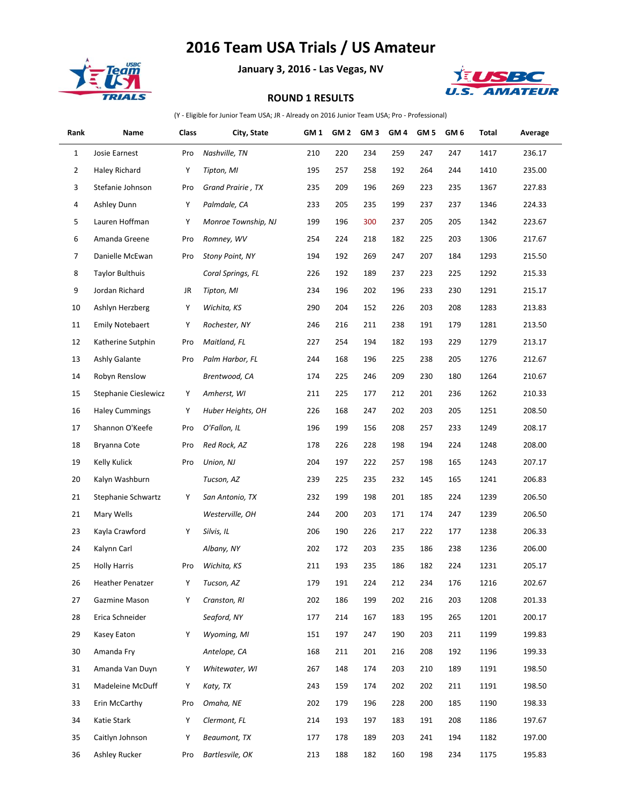## **2016 Team USA Trials / US Amateur**



**January 3, 2016 - Las Vegas, NV**



## **ROUND 1 RESULTS**

(Y - Eligible for Junior Team USA; JR - Already on 2016 Junior Team USA; Pro - Professional)

| Rank         | Name                   | Class | City, State            | GM <sub>1</sub> | GM <sub>2</sub> | GM <sub>3</sub> | GM <sub>4</sub> | GM <sub>5</sub> | GM <sub>6</sub> | Total | Average |
|--------------|------------------------|-------|------------------------|-----------------|-----------------|-----------------|-----------------|-----------------|-----------------|-------|---------|
| $\mathbf{1}$ | Josie Earnest          | Pro   | Nashville, TN          | 210             | 220             | 234             | 259             | 247             | 247             | 1417  | 236.17  |
| 2            | Haley Richard          | Y     | Tipton, MI             | 195             | 257             | 258             | 192             | 264             | 244             | 1410  | 235.00  |
| 3            | Stefanie Johnson       | Pro   | Grand Prairie, TX      | 235             | 209             | 196             | 269             | 223             | 235             | 1367  | 227.83  |
| 4            | Ashley Dunn            | Y     | Palmdale, CA           | 233             | 205             | 235             | 199             | 237             | 237             | 1346  | 224.33  |
| 5            | Lauren Hoffman         | Y     | Monroe Township, NJ    | 199             | 196             | 300             | 237             | 205             | 205             | 1342  | 223.67  |
| 6            | Amanda Greene          | Pro   | Romney, WV             | 254             | 224             | 218             | 182             | 225             | 203             | 1306  | 217.67  |
| 7            | Danielle McEwan        | Pro   | <b>Stony Point, NY</b> | 194             | 192             | 269             | 247             | 207             | 184             | 1293  | 215.50  |
| 8            | <b>Taylor Bulthuis</b> |       | Coral Springs, FL      | 226             | 192             | 189             | 237             | 223             | 225             | 1292  | 215.33  |
| 9            | Jordan Richard         | JR    | Tipton, MI             | 234             | 196             | 202             | 196             | 233             | 230             | 1291  | 215.17  |
| 10           | Ashlyn Herzberg        | Y     | Wichita, KS            | 290             | 204             | 152             | 226             | 203             | 208             | 1283  | 213.83  |
| 11           | <b>Emily Notebaert</b> | Y     | Rochester, NY          | 246             | 216             | 211             | 238             | 191             | 179             | 1281  | 213.50  |
| 12           | Katherine Sutphin      | Pro   | Maitland, FL           | 227             | 254             | 194             | 182             | 193             | 229             | 1279  | 213.17  |
| 13           | Ashly Galante          | Pro   | Palm Harbor, FL        | 244             | 168             | 196             | 225             | 238             | 205             | 1276  | 212.67  |
| 14           | Robyn Renslow          |       | Brentwood, CA          | 174             | 225             | 246             | 209             | 230             | 180             | 1264  | 210.67  |
| 15           | Stephanie Cieslewicz   | Y     | Amherst, WI            | 211             | 225             | 177             | 212             | 201             | 236             | 1262  | 210.33  |
| 16           | <b>Haley Cummings</b>  | Y     | Huber Heights, OH      | 226             | 168             | 247             | 202             | 203             | 205             | 1251  | 208.50  |
| 17           | Shannon O'Keefe        | Pro   | O'Fallon, IL           | 196             | 199             | 156             | 208             | 257             | 233             | 1249  | 208.17  |
| 18           | Bryanna Cote           | Pro   | Red Rock, AZ           | 178             | 226             | 228             | 198             | 194             | 224             | 1248  | 208.00  |
| 19           | Kelly Kulick           | Pro   | Union, NJ              | 204             | 197             | 222             | 257             | 198             | 165             | 1243  | 207.17  |
| 20           | Kalyn Washburn         |       | Tucson, AZ             | 239             | 225             | 235             | 232             | 145             | 165             | 1241  | 206.83  |
| 21           | Stephanie Schwartz     | Y     | San Antonio, TX        | 232             | 199             | 198             | 201             | 185             | 224             | 1239  | 206.50  |
| 21           | Mary Wells             |       | Westerville, OH        | 244             | 200             | 203             | 171             | 174             | 247             | 1239  | 206.50  |
| 23           | Kayla Crawford         | Y     | Silvis, IL             | 206             | 190             | 226             | 217             | 222             | 177             | 1238  | 206.33  |
| 24           | Kalynn Carl            |       | Albany, NY             | 202             | 172             | 203             | 235             | 186             | 238             | 1236  | 206.00  |
| 25           | <b>Holly Harris</b>    | Pro   | Wichita, KS            | 211             | 193             | 235             | 186             | 182             | 224             | 1231  | 205.17  |
| 26           | Heather Penatzer       | Y     | Tucson, AZ             | 179             | 191             | 224             | 212             | 234             | 176             | 1216  | 202.67  |
| 27           | Gazmine Mason          | Y     | Cranston, RI           | 202             | 186             | 199             | 202             | 216             | 203             | 1208  | 201.33  |
| 28           | Erica Schneider        |       | Seaford, NY            | 177             | 214             | 167             | 183             | 195             | 265             | 1201  | 200.17  |
| 29           | Kasey Eaton            | Y     | Wyoming, MI            | 151             | 197             | 247             | 190             | 203             | 211             | 1199  | 199.83  |
| 30           | Amanda Fry             |       | Antelope, CA           | 168             | 211             | 201             | 216             | 208             | 192             | 1196  | 199.33  |
| 31           | Amanda Van Duyn        | Y     | Whitewater, WI         | 267             | 148             | 174             | 203             | 210             | 189             | 1191  | 198.50  |
| 31           | Madeleine McDuff       | Y     | Katy, TX               | 243             | 159             | 174             | 202             | 202             | 211             | 1191  | 198.50  |
| 33           | Erin McCarthy          | Pro   | Omaha, NE              | 202             | 179             | 196             | 228             | 200             | 185             | 1190  | 198.33  |
| 34           | Katie Stark            | Y     | Clermont, FL           | 214             | 193             | 197             | 183             | 191             | 208             | 1186  | 197.67  |
| 35           | Caitlyn Johnson        | Y     | Beaumont, TX           | 177             | 178             | 189             | 203             | 241             | 194             | 1182  | 197.00  |
| 36           | Ashley Rucker          | Pro   | Bartlesvile, OK        | 213             | 188             | 182             | 160             | 198             | 234             | 1175  | 195.83  |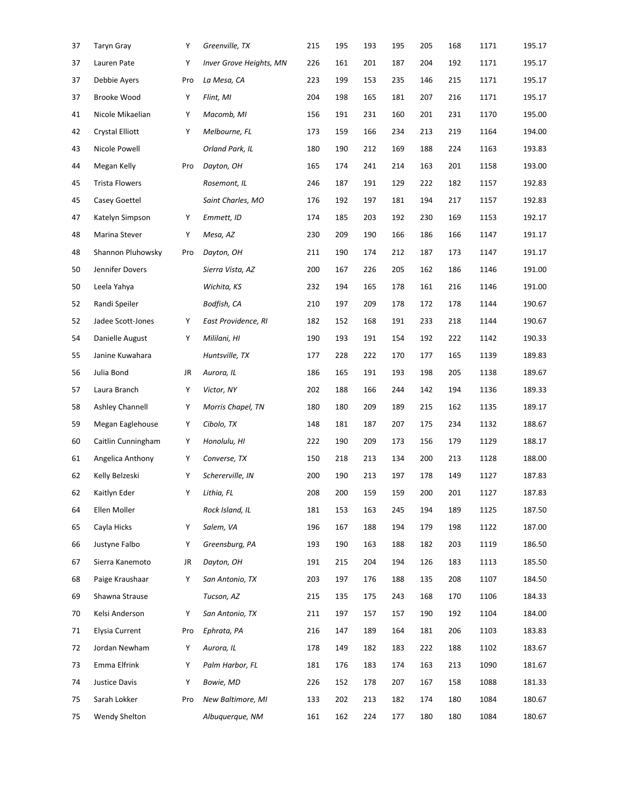| 37 | <b>Taryn Gray</b>      | Υ   | Greenville, TX          | 215 | 195 | 193 | 195 | 205 | 168 | 1171 | 195.17 |
|----|------------------------|-----|-------------------------|-----|-----|-----|-----|-----|-----|------|--------|
| 37 | Lauren Pate            | Υ   | Inver Grove Heights, MN | 226 | 161 | 201 | 187 | 204 | 192 | 1171 | 195.17 |
| 37 | Debbie Ayers           | Pro | La Mesa, CA             | 223 | 199 | 153 | 235 | 146 | 215 | 1171 | 195.17 |
| 37 | Brooke Wood            | Υ   | Flint, MI               | 204 | 198 | 165 | 181 | 207 | 216 | 1171 | 195.17 |
| 41 | Nicole Mikaelian       | Υ   | Macomb, MI              | 156 | 191 | 231 | 160 | 201 | 231 | 1170 | 195.00 |
| 42 | <b>Crystal Elliott</b> | Υ   | Melbourne, FL           | 173 | 159 | 166 | 234 | 213 | 219 | 1164 | 194.00 |
| 43 | Nicole Powell          |     | Orland Park, IL         | 180 | 190 | 212 | 169 | 188 | 224 | 1163 | 193.83 |
| 44 | Megan Kelly            | Pro | Dayton, OH              | 165 | 174 | 241 | 214 | 163 | 201 | 1158 | 193.00 |
| 45 | <b>Trista Flowers</b>  |     | Rosemont, IL            | 246 | 187 | 191 | 129 | 222 | 182 | 1157 | 192.83 |
| 45 | Casey Goettel          |     | Saint Charles, MO       | 176 | 192 | 197 | 181 | 194 | 217 | 1157 | 192.83 |
| 47 | Katelyn Simpson        | Υ   | Emmett, ID              | 174 | 185 | 203 | 192 | 230 | 169 | 1153 | 192.17 |
| 48 | Marina Stever          | Υ   | Mesa, AZ                | 230 | 209 | 190 | 166 | 186 | 166 | 1147 | 191.17 |
| 48 | Shannon Pluhowsky      | Pro | Dayton, OH              | 211 | 190 | 174 | 212 | 187 | 173 | 1147 | 191.17 |
| 50 | Jennifer Dovers        |     | Sierra Vista, AZ        | 200 | 167 | 226 | 205 | 162 | 186 | 1146 | 191.00 |
| 50 | Leela Yahya            |     | Wichita, KS             | 232 | 194 | 165 | 178 | 161 | 216 | 1146 | 191.00 |
| 52 | Randi Speiler          |     | Bodfish, CA             | 210 | 197 | 209 | 178 | 172 | 178 | 1144 | 190.67 |
| 52 | Jadee Scott-Jones      | Υ   | East Providence, RI     | 182 | 152 | 168 | 191 | 233 | 218 | 1144 | 190.67 |
| 54 | Danielle August        | Υ   | Mililani, HI            | 190 | 193 | 191 | 154 | 192 | 222 | 1142 | 190.33 |
| 55 | Janine Kuwahara        |     | Huntsville, TX          | 177 | 228 | 222 | 170 | 177 | 165 | 1139 | 189.83 |
| 56 | Julia Bond             | JR  | Aurora, IL              | 186 | 165 | 191 | 193 | 198 | 205 | 1138 | 189.67 |
| 57 | Laura Branch           | Υ   | Victor, NY              | 202 | 188 | 166 | 244 | 142 | 194 | 1136 | 189.33 |
| 58 | Ashley Channell        | Υ   | Morris Chapel, TN       | 180 | 180 | 209 | 189 | 215 | 162 | 1135 | 189.17 |
| 59 | Megan Eaglehouse       | Υ   | Cibolo, TX              | 148 | 181 | 187 | 207 | 175 | 234 | 1132 | 188.67 |
| 60 | Caitlin Cunningham     | Υ   | Honolulu, HI            | 222 | 190 | 209 | 173 | 156 | 179 | 1129 | 188.17 |
| 61 | Angelica Anthony       | Υ   | Converse, TX            | 150 | 218 | 213 | 134 | 200 | 213 | 1128 | 188.00 |
| 62 | Kelly Belzeski         | Υ   | Schererville, IN        | 200 | 190 | 213 | 197 | 178 | 149 | 1127 | 187.83 |
| 62 | Kaitlyn Eder           | Υ   | Lithia, FL              | 208 | 200 | 159 | 159 | 200 | 201 | 1127 | 187.83 |
| 64 | Ellen Moller           |     | Rock Island, IL         | 181 | 153 | 163 | 245 | 194 | 189 | 1125 | 187.50 |
| 65 | Cayla Hicks            | Υ   | Salem, VA               | 196 | 167 | 188 | 194 | 179 | 198 | 1122 | 187.00 |
| 66 | Justyne Falbo          | Υ   | Greensburg, PA          | 193 | 190 | 163 | 188 | 182 | 203 | 1119 | 186.50 |
| 67 | Sierra Kanemoto        | JR  | Dayton, OH              | 191 | 215 | 204 | 194 | 126 | 183 | 1113 | 185.50 |
| 68 | Paige Kraushaar        | Υ   | San Antonio, TX         | 203 | 197 | 176 | 188 | 135 | 208 | 1107 | 184.50 |
| 69 | Shawna Strause         |     | Tucson, AZ              | 215 | 135 | 175 | 243 | 168 | 170 | 1106 | 184.33 |
| 70 | Kelsi Anderson         | Y   | San Antonio, TX         | 211 | 197 | 157 | 157 | 190 | 192 | 1104 | 184.00 |
| 71 | Elysia Current         | Pro | Ephrata, PA             | 216 | 147 | 189 | 164 | 181 | 206 | 1103 | 183.83 |
| 72 | Jordan Newham          | Υ   | Aurora, IL              | 178 | 149 | 182 | 183 | 222 | 188 | 1102 | 183.67 |
| 73 | Emma Elfrink           | Υ   | Palm Harbor, FL         | 181 | 176 | 183 | 174 | 163 | 213 | 1090 | 181.67 |
| 74 | Justice Davis          | Υ   | Bowie, MD               | 226 | 152 | 178 | 207 | 167 | 158 | 1088 | 181.33 |
| 75 | Sarah Lokker           | Pro | New Baltimore, MI       | 133 | 202 | 213 | 182 | 174 | 180 | 1084 | 180.67 |
| 75 | Wendy Shelton          |     | Albuquerque, NM         | 161 | 162 | 224 | 177 | 180 | 180 | 1084 | 180.67 |
|    |                        |     |                         |     |     |     |     |     |     |      |        |